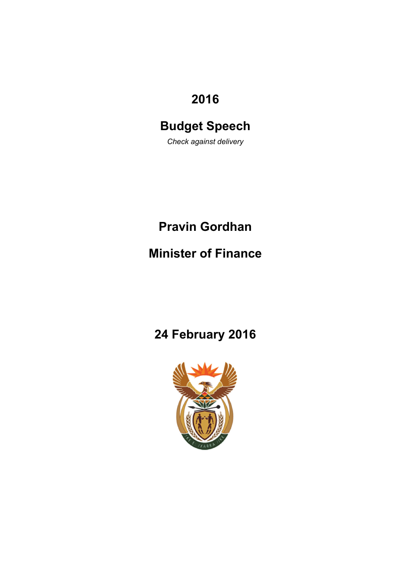# **2016**

# **Budget Speech**

*Check against delivery* 

# **Pravin Gordhan**

# **Minister of Finance**

# **24 February 2016**

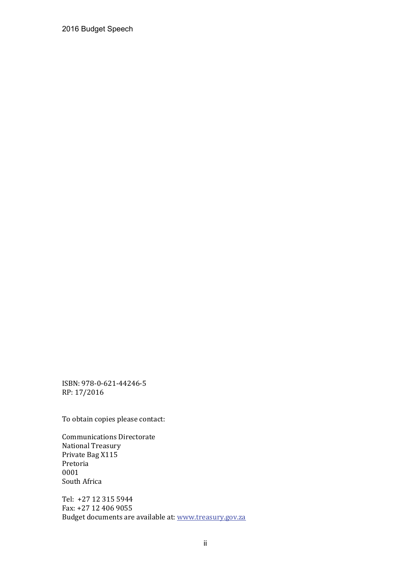2016 Budget Speech

ISBN: 978‐0‐621‐44246‐5 RP: 17/2016 

To obtain copies please contact:

Communications Directorate National Treasury Private Bag X115 Pretoria 0001 South Africa

Tel: +27 12 315 5944 Fax: +27 12 406 9055 Budget documents are available at: www.treasury.gov.za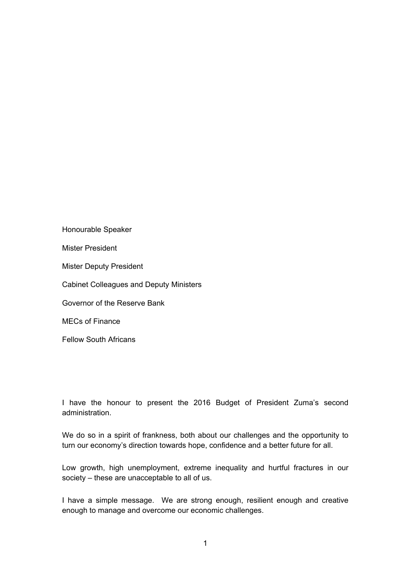Honourable Speaker Mister President Mister Deputy President Cabinet Colleagues and Deputy Ministers Governor of the Reserve Bank MECs of Finance Fellow South Africans

I have the honour to present the 2016 Budget of President Zuma's second administration.

We do so in a spirit of frankness, both about our challenges and the opportunity to turn our economy's direction towards hope, confidence and a better future for all.

Low growth, high unemployment, extreme inequality and hurtful fractures in our society – these are unacceptable to all of us.

I have a simple message. We are strong enough, resilient enough and creative enough to manage and overcome our economic challenges.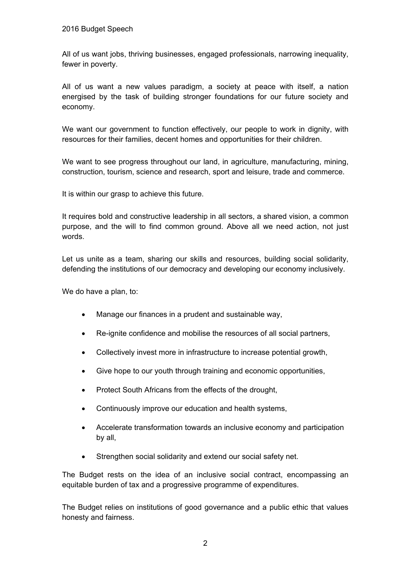All of us want jobs, thriving businesses, engaged professionals, narrowing inequality, fewer in poverty.

All of us want a new values paradigm, a society at peace with itself, a nation energised by the task of building stronger foundations for our future society and economy.

We want our government to function effectively, our people to work in dignity, with resources for their families, decent homes and opportunities for their children.

We want to see progress throughout our land, in agriculture, manufacturing, mining, construction, tourism, science and research, sport and leisure, trade and commerce.

It is within our grasp to achieve this future.

It requires bold and constructive leadership in all sectors, a shared vision, a common purpose, and the will to find common ground. Above all we need action, not just words.

Let us unite as a team, sharing our skills and resources, building social solidarity, defending the institutions of our democracy and developing our economy inclusively.

We do have a plan, to:

- Manage our finances in a prudent and sustainable way,
- Re-ignite confidence and mobilise the resources of all social partners,
- Collectively invest more in infrastructure to increase potential growth,
- Give hope to our youth through training and economic opportunities,
- Protect South Africans from the effects of the drought,
- Continuously improve our education and health systems,
- Accelerate transformation towards an inclusive economy and participation by all,
- Strengthen social solidarity and extend our social safety net.

The Budget rests on the idea of an inclusive social contract, encompassing an equitable burden of tax and a progressive programme of expenditures.

The Budget relies on institutions of good governance and a public ethic that values honesty and fairness.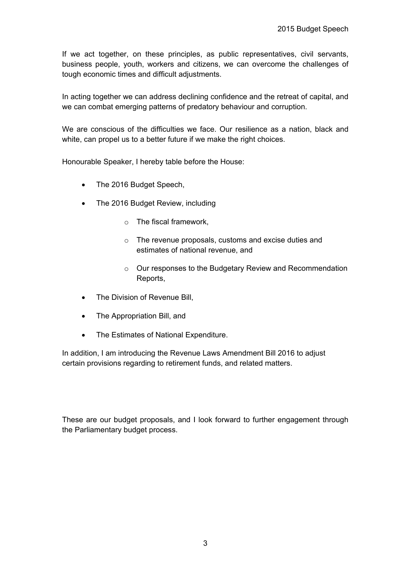If we act together, on these principles, as public representatives, civil servants, business people, youth, workers and citizens, we can overcome the challenges of tough economic times and difficult adjustments.

In acting together we can address declining confidence and the retreat of capital, and we can combat emerging patterns of predatory behaviour and corruption.

We are conscious of the difficulties we face. Our resilience as a nation, black and white, can propel us to a better future if we make the right choices.

Honourable Speaker, I hereby table before the House:

- The 2016 Budget Speech,
- The 2016 Budget Review, including
	- o The fiscal framework,
	- o The revenue proposals, customs and excise duties and estimates of national revenue, and
	- o Our responses to the Budgetary Review and Recommendation Reports,
- The Division of Revenue Bill,
- The Appropriation Bill, and
- The Estimates of National Expenditure.

In addition, I am introducing the Revenue Laws Amendment Bill 2016 to adjust certain provisions regarding to retirement funds, and related matters.

These are our budget proposals, and I look forward to further engagement through the Parliamentary budget process.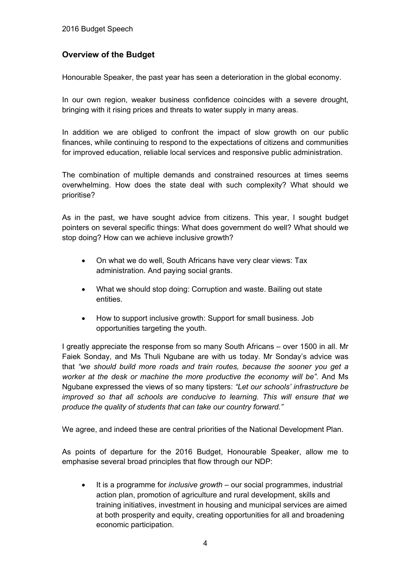# **Overview of the Budget**

Honourable Speaker, the past year has seen a deterioration in the global economy.

In our own region, weaker business confidence coincides with a severe drought, bringing with it rising prices and threats to water supply in many areas.

In addition we are obliged to confront the impact of slow growth on our public finances, while continuing to respond to the expectations of citizens and communities for improved education, reliable local services and responsive public administration.

The combination of multiple demands and constrained resources at times seems overwhelming. How does the state deal with such complexity? What should we prioritise?

As in the past, we have sought advice from citizens. This year, I sought budget pointers on several specific things: What does government do well? What should we stop doing? How can we achieve inclusive growth?

- On what we do well, South Africans have very clear views: Tax administration. And paying social grants.
- What we should stop doing: Corruption and waste. Bailing out state entities.
- How to support inclusive growth: Support for small business. Job opportunities targeting the youth.

I greatly appreciate the response from so many South Africans – over 1500 in all. Mr Faiek Sonday, and Ms Thuli Ngubane are with us today. Mr Sonday's advice was that *"we should build more roads and train routes, because the sooner you get a worker at the desk or machine the more productive the economy will be".* And Ms Ngubane expressed the views of so many tipsters: *"Let our schools' infrastructure be improved so that all schools are conducive to learning. This will ensure that we produce the quality of students that can take our country forward."*

We agree, and indeed these are central priorities of the National Development Plan.

As points of departure for the 2016 Budget, Honourable Speaker, allow me to emphasise several broad principles that flow through our NDP:

 It is a programme for *inclusive growth* – our social programmes, industrial action plan, promotion of agriculture and rural development, skills and training initiatives, investment in housing and municipal services are aimed at both prosperity and equity, creating opportunities for all and broadening economic participation.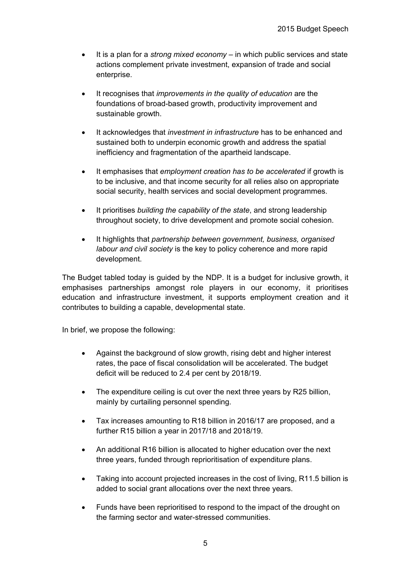- It is a plan for a *strong mixed economy*  in which public services and state actions complement private investment, expansion of trade and social enterprise.
- It recognises that *improvements in the quality of education* are the foundations of broad-based growth, productivity improvement and sustainable growth.
- It acknowledges that *investment in infrastructure* has to be enhanced and sustained both to underpin economic growth and address the spatial inefficiency and fragmentation of the apartheid landscape.
- It emphasises that *employment creation has to be accelerated* if growth is to be inclusive, and that income security for all relies also on appropriate social security, health services and social development programmes.
- It prioritises *building the capability of the state*, and strong leadership throughout society, to drive development and promote social cohesion.
- It highlights that *partnership between government, business, organised labour and civil society* is the key to policy coherence and more rapid development.

The Budget tabled today is guided by the NDP. It is a budget for inclusive growth, it emphasises partnerships amongst role players in our economy, it prioritises education and infrastructure investment, it supports employment creation and it contributes to building a capable, developmental state.

In brief, we propose the following:

- Against the background of slow growth, rising debt and higher interest rates, the pace of fiscal consolidation will be accelerated. The budget deficit will be reduced to 2.4 per cent by 2018/19.
- The expenditure ceiling is cut over the next three years by R25 billion, mainly by curtailing personnel spending.
- Tax increases amounting to R18 billion in 2016/17 are proposed, and a further R15 billion a year in 2017/18 and 2018/19.
- An additional R16 billion is allocated to higher education over the next three years, funded through reprioritisation of expenditure plans.
- Taking into account projected increases in the cost of living, R11.5 billion is added to social grant allocations over the next three years.
- Funds have been reprioritised to respond to the impact of the drought on the farming sector and water-stressed communities.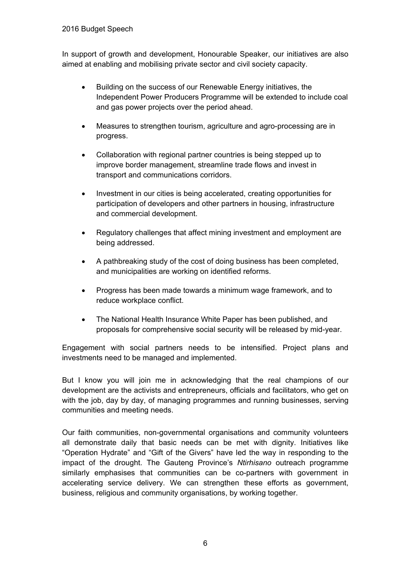In support of growth and development, Honourable Speaker, our initiatives are also aimed at enabling and mobilising private sector and civil society capacity.

- Building on the success of our Renewable Energy initiatives, the Independent Power Producers Programme will be extended to include coal and gas power projects over the period ahead.
- Measures to strengthen tourism, agriculture and agro-processing are in progress.
- Collaboration with regional partner countries is being stepped up to improve border management, streamline trade flows and invest in transport and communications corridors.
- Investment in our cities is being accelerated, creating opportunities for participation of developers and other partners in housing, infrastructure and commercial development.
- Regulatory challenges that affect mining investment and employment are being addressed.
- A pathbreaking study of the cost of doing business has been completed, and municipalities are working on identified reforms.
- Progress has been made towards a minimum wage framework, and to reduce workplace conflict.
- The National Health Insurance White Paper has been published, and proposals for comprehensive social security will be released by mid-year.

Engagement with social partners needs to be intensified. Project plans and investments need to be managed and implemented.

But I know you will join me in acknowledging that the real champions of our development are the activists and entrepreneurs, officials and facilitators, who get on with the job, day by day, of managing programmes and running businesses, serving communities and meeting needs.

Our faith communities, non-governmental organisations and community volunteers all demonstrate daily that basic needs can be met with dignity. Initiatives like "Operation Hydrate" and "Gift of the Givers" have led the way in responding to the impact of the drought. The Gauteng Province's *Ntirhisano* outreach programme similarly emphasises that communities can be co-partners with government in accelerating service delivery. We can strengthen these efforts as government, business, religious and community organisations, by working together.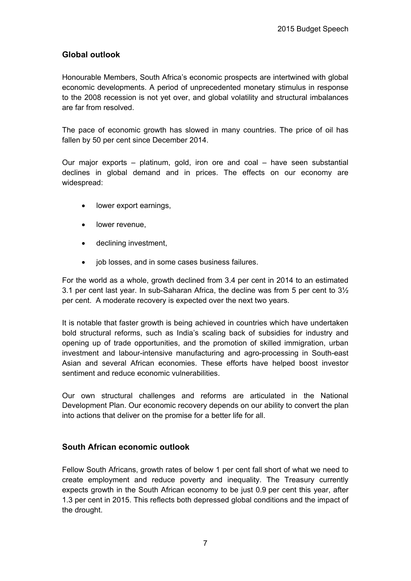# **Global outlook**

Honourable Members, South Africa's economic prospects are intertwined with global economic developments. A period of unprecedented monetary stimulus in response to the 2008 recession is not yet over, and global volatility and structural imbalances are far from resolved.

The pace of economic growth has slowed in many countries. The price of oil has fallen by 50 per cent since December 2014.

Our major exports – platinum, gold, iron ore and coal – have seen substantial declines in global demand and in prices. The effects on our economy are widespread:

- lower export earnings,
- lower revenue.
- declining investment,
- job losses, and in some cases business failures.

For the world as a whole, growth declined from 3.4 per cent in 2014 to an estimated 3.1 per cent last year. In sub-Saharan Africa, the decline was from 5 per cent to 3½ per cent. A moderate recovery is expected over the next two years.

It is notable that faster growth is being achieved in countries which have undertaken bold structural reforms, such as India's scaling back of subsidies for industry and opening up of trade opportunities, and the promotion of skilled immigration, urban investment and labour-intensive manufacturing and agro-processing in South-east Asian and several African economies. These efforts have helped boost investor sentiment and reduce economic vulnerabilities.

Our own structural challenges and reforms are articulated in the National Development Plan. Our economic recovery depends on our ability to convert the plan into actions that deliver on the promise for a better life for all.

# **South African economic outlook**

Fellow South Africans, growth rates of below 1 per cent fall short of what we need to create employment and reduce poverty and inequality. The Treasury currently expects growth in the South African economy to be just 0.9 per cent this year, after 1.3 per cent in 2015. This reflects both depressed global conditions and the impact of the drought.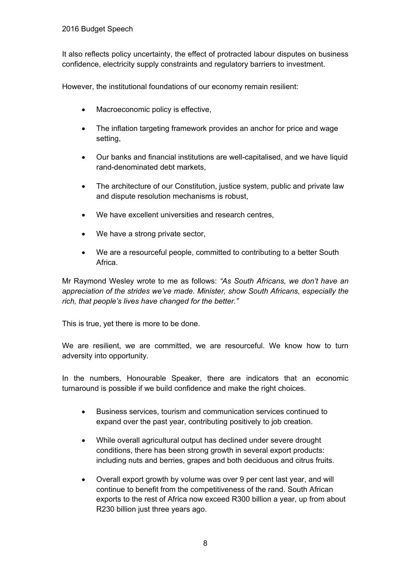It also reflects policy uncertainty, the effect of protracted labour disputes on business confidence, electricity supply constraints and regulatory barriers to investment.

However, the institutional foundations of our economy remain resilient:

- Macroeconomic policy is effective,
- The inflation targeting framework provides an anchor for price and wage setting,
- Our banks and financial institutions are well-capitalised, and we have liquid rand-denominated debt markets,
- The architecture of our Constitution, justice system, public and private law and dispute resolution mechanisms is robust,
- We have excellent universities and research centres,
- We have a strong private sector,
- We are a resourceful people, committed to contributing to a better South Africa.

Mr Raymond Wesley wrote to me as follows: *"As South Africans, we don't have an appreciation of the strides we've made. Minister, show South Africans, especially the rich, that people's lives have changed for the better."*

This is true, yet there is more to be done.

We are resilient, we are committed, we are resourceful. We know how to turn adversity into opportunity.

In the numbers, Honourable Speaker, there are indicators that an economic turnaround is possible if we build confidence and make the right choices.

- Business services, tourism and communication services continued to expand over the past year, contributing positively to job creation.
- While overall agricultural output has declined under severe drought conditions, there has been strong growth in several export products: including nuts and berries, grapes and both deciduous and citrus fruits.
- Overall export growth by volume was over 9 per cent last year, and will continue to benefit from the competitiveness of the rand. South African exports to the rest of Africa now exceed R300 billion a year, up from about R230 billion just three years ago.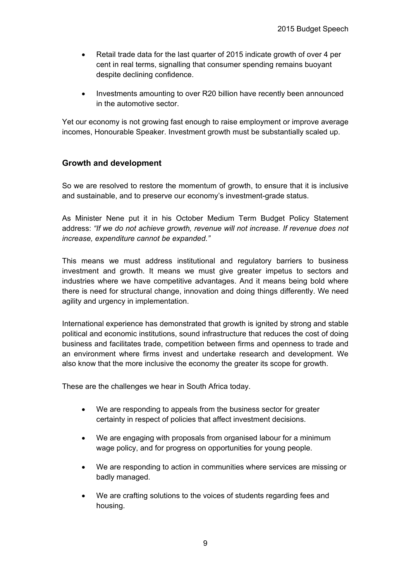- Retail trade data for the last quarter of 2015 indicate growth of over 4 per cent in real terms, signalling that consumer spending remains buoyant despite declining confidence.
- Investments amounting to over R20 billion have recently been announced in the automotive sector.

Yet our economy is not growing fast enough to raise employment or improve average incomes, Honourable Speaker. Investment growth must be substantially scaled up.

# **Growth and development**

So we are resolved to restore the momentum of growth, to ensure that it is inclusive and sustainable, and to preserve our economy's investment-grade status.

As Minister Nene put it in his October Medium Term Budget Policy Statement address: *"If we do not achieve growth, revenue will not increase. If revenue does not increase, expenditure cannot be expanded."*

This means we must address institutional and regulatory barriers to business investment and growth. It means we must give greater impetus to sectors and industries where we have competitive advantages. And it means being bold where there is need for structural change, innovation and doing things differently. We need agility and urgency in implementation.

International experience has demonstrated that growth is ignited by strong and stable political and economic institutions, sound infrastructure that reduces the cost of doing business and facilitates trade, competition between firms and openness to trade and an environment where firms invest and undertake research and development. We also know that the more inclusive the economy the greater its scope for growth.

These are the challenges we hear in South Africa today.

- We are responding to appeals from the business sector for greater certainty in respect of policies that affect investment decisions.
- We are engaging with proposals from organised labour for a minimum wage policy, and for progress on opportunities for young people.
- We are responding to action in communities where services are missing or badly managed.
- We are crafting solutions to the voices of students regarding fees and housing.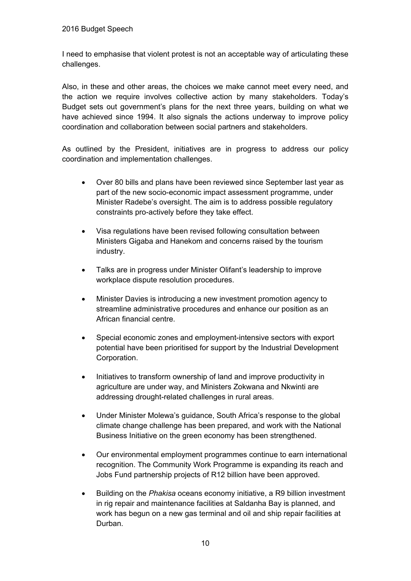I need to emphasise that violent protest is not an acceptable way of articulating these challenges.

Also, in these and other areas, the choices we make cannot meet every need, and the action we require involves collective action by many stakeholders. Today's Budget sets out government's plans for the next three years, building on what we have achieved since 1994. It also signals the actions underway to improve policy coordination and collaboration between social partners and stakeholders.

As outlined by the President, initiatives are in progress to address our policy coordination and implementation challenges.

- Over 80 bills and plans have been reviewed since September last year as part of the new socio-economic impact assessment programme, under Minister Radebe's oversight. The aim is to address possible regulatory constraints pro-actively before they take effect.
- Visa regulations have been revised following consultation between Ministers Gigaba and Hanekom and concerns raised by the tourism industry.
- Talks are in progress under Minister Olifant's leadership to improve workplace dispute resolution procedures.
- Minister Davies is introducing a new investment promotion agency to streamline administrative procedures and enhance our position as an African financial centre.
- Special economic zones and employment-intensive sectors with export potential have been prioritised for support by the Industrial Development Corporation.
- Initiatives to transform ownership of land and improve productivity in agriculture are under way, and Ministers Zokwana and Nkwinti are addressing drought-related challenges in rural areas.
- Under Minister Molewa's guidance, South Africa's response to the global climate change challenge has been prepared, and work with the National Business Initiative on the green economy has been strengthened.
- Our environmental employment programmes continue to earn international recognition. The Community Work Programme is expanding its reach and Jobs Fund partnership projects of R12 billion have been approved.
- Building on the *Phakisa* oceans economy initiative, a R9 billion investment in rig repair and maintenance facilities at Saldanha Bay is planned, and work has begun on a new gas terminal and oil and ship repair facilities at Durban.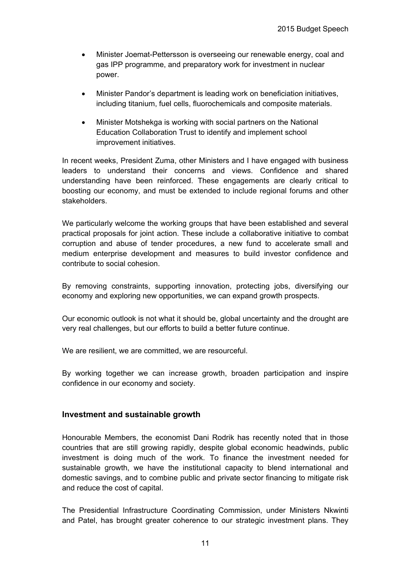- Minister Joemat-Pettersson is overseeing our renewable energy, coal and gas IPP programme, and preparatory work for investment in nuclear power.
- Minister Pandor's department is leading work on beneficiation initiatives, including titanium, fuel cells, fluorochemicals and composite materials.
- Minister Motshekga is working with social partners on the National Education Collaboration Trust to identify and implement school improvement initiatives.

In recent weeks, President Zuma, other Ministers and I have engaged with business leaders to understand their concerns and views. Confidence and shared understanding have been reinforced. These engagements are clearly critical to boosting our economy, and must be extended to include regional forums and other stakeholders.

We particularly welcome the working groups that have been established and several practical proposals for joint action. These include a collaborative initiative to combat corruption and abuse of tender procedures, a new fund to accelerate small and medium enterprise development and measures to build investor confidence and contribute to social cohesion.

By removing constraints, supporting innovation, protecting jobs, diversifying our economy and exploring new opportunities, we can expand growth prospects.

Our economic outlook is not what it should be, global uncertainty and the drought are very real challenges, but our efforts to build a better future continue.

We are resilient, we are committed, we are resourceful.

By working together we can increase growth, broaden participation and inspire confidence in our economy and society.

#### **Investment and sustainable growth**

Honourable Members, the economist Dani Rodrik has recently noted that in those countries that are still growing rapidly, despite global economic headwinds, public investment is doing much of the work. To finance the investment needed for sustainable growth, we have the institutional capacity to blend international and domestic savings, and to combine public and private sector financing to mitigate risk and reduce the cost of capital.

The Presidential Infrastructure Coordinating Commission, under Ministers Nkwinti and Patel, has brought greater coherence to our strategic investment plans. They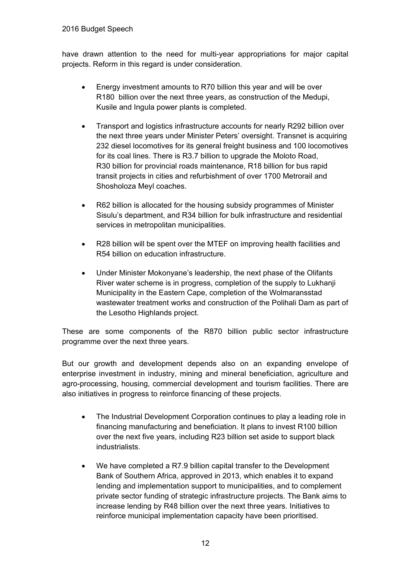have drawn attention to the need for multi-year appropriations for major capital projects. Reform in this regard is under consideration.

- Energy investment amounts to R70 billion this year and will be over R180 billion over the next three years, as construction of the Medupi, Kusile and Ingula power plants is completed.
- Transport and logistics infrastructure accounts for nearly R292 billion over the next three years under Minister Peters' oversight. Transnet is acquiring 232 diesel locomotives for its general freight business and 100 locomotives for its coal lines. There is R3.7 billion to upgrade the Moloto Road, R30 billion for provincial roads maintenance, R18 billion for bus rapid transit projects in cities and refurbishment of over 1700 Metrorail and Shosholoza Meyl coaches.
- R62 billion is allocated for the housing subsidy programmes of Minister Sisulu's department, and R34 billion for bulk infrastructure and residential services in metropolitan municipalities.
- R28 billion will be spent over the MTEF on improving health facilities and R54 billion on education infrastructure.
- Under Minister Mokonyane's leadership, the next phase of the Olifants River water scheme is in progress, completion of the supply to Lukhanji Municipality in the Eastern Cape, completion of the Wolmaransstad wastewater treatment works and construction of the Polihali Dam as part of the Lesotho Highlands project.

These are some components of the R870 billion public sector infrastructure programme over the next three years.

But our growth and development depends also on an expanding envelope of enterprise investment in industry, mining and mineral beneficiation, agriculture and agro-processing, housing, commercial development and tourism facilities. There are also initiatives in progress to reinforce financing of these projects.

- The Industrial Development Corporation continues to play a leading role in financing manufacturing and beneficiation. It plans to invest R100 billion over the next five years, including R23 billion set aside to support black industrialists.
- We have completed a R7.9 billion capital transfer to the Development Bank of Southern Africa, approved in 2013, which enables it to expand lending and implementation support to municipalities, and to complement private sector funding of strategic infrastructure projects. The Bank aims to increase lending by R48 billion over the next three years. Initiatives to reinforce municipal implementation capacity have been prioritised.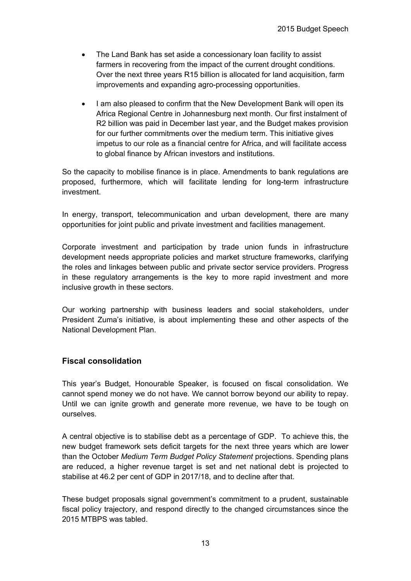- The Land Bank has set aside a concessionary loan facility to assist farmers in recovering from the impact of the current drought conditions. Over the next three years R15 billion is allocated for land acquisition, farm improvements and expanding agro-processing opportunities.
- I am also pleased to confirm that the New Development Bank will open its Africa Regional Centre in Johannesburg next month. Our first instalment of R2 billion was paid in December last year, and the Budget makes provision for our further commitments over the medium term. This initiative gives impetus to our role as a financial centre for Africa, and will facilitate access to global finance by African investors and institutions.

So the capacity to mobilise finance is in place. Amendments to bank regulations are proposed, furthermore, which will facilitate lending for long-term infrastructure investment.

In energy, transport, telecommunication and urban development, there are many opportunities for joint public and private investment and facilities management.

Corporate investment and participation by trade union funds in infrastructure development needs appropriate policies and market structure frameworks, clarifying the roles and linkages between public and private sector service providers. Progress in these regulatory arrangements is the key to more rapid investment and more inclusive growth in these sectors.

Our working partnership with business leaders and social stakeholders, under President Zuma's initiative, is about implementing these and other aspects of the National Development Plan.

# **Fiscal consolidation**

This year's Budget, Honourable Speaker, is focused on fiscal consolidation. We cannot spend money we do not have. We cannot borrow beyond our ability to repay. Until we can ignite growth and generate more revenue, we have to be tough on ourselves.

A central objective is to stabilise debt as a percentage of GDP. To achieve this, the new budget framework sets deficit targets for the next three years which are lower than the October *Medium Term Budget Policy Statement* projections. Spending plans are reduced, a higher revenue target is set and net national debt is projected to stabilise at 46.2 per cent of GDP in 2017/18, and to decline after that.

These budget proposals signal government's commitment to a prudent, sustainable fiscal policy trajectory, and respond directly to the changed circumstances since the 2015 MTBPS was tabled.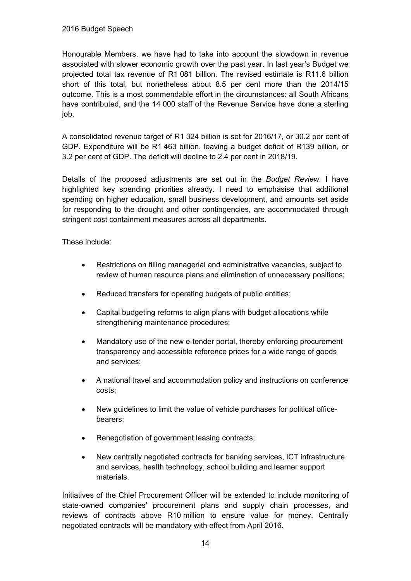Honourable Members, we have had to take into account the slowdown in revenue associated with slower economic growth over the past year. In last year's Budget we projected total tax revenue of R1 081 billion. The revised estimate is R11.6 billion short of this total, but nonetheless about 8.5 per cent more than the 2014/15 outcome. This is a most commendable effort in the circumstances: all South Africans have contributed, and the 14 000 staff of the Revenue Service have done a sterling job.

A consolidated revenue target of R1 324 billion is set for 2016/17, or 30.2 per cent of GDP. Expenditure will be R1 463 billion, leaving a budget deficit of R139 billion, or 3.2 per cent of GDP. The deficit will decline to 2.4 per cent in 2018/19.

Details of the proposed adjustments are set out in the *Budget Review.* I have highlighted key spending priorities already. I need to emphasise that additional spending on higher education, small business development, and amounts set aside for responding to the drought and other contingencies, are accommodated through stringent cost containment measures across all departments.

These include:

- Restrictions on filling managerial and administrative vacancies, subject to review of human resource plans and elimination of unnecessary positions;
- Reduced transfers for operating budgets of public entities;
- Capital budgeting reforms to align plans with budget allocations while strengthening maintenance procedures;
- Mandatory use of the new e-tender portal, thereby enforcing procurement transparency and accessible reference prices for a wide range of goods and services;
- A national travel and accommodation policy and instructions on conference costs;
- New guidelines to limit the value of vehicle purchases for political officebearers;
- Renegotiation of government leasing contracts;
- New centrally negotiated contracts for banking services, ICT infrastructure and services, health technology, school building and learner support materials.

Initiatives of the Chief Procurement Officer will be extended to include monitoring of state-owned companies' procurement plans and supply chain processes, and reviews of contracts above R10 million to ensure value for money. Centrally negotiated contracts will be mandatory with effect from April 2016.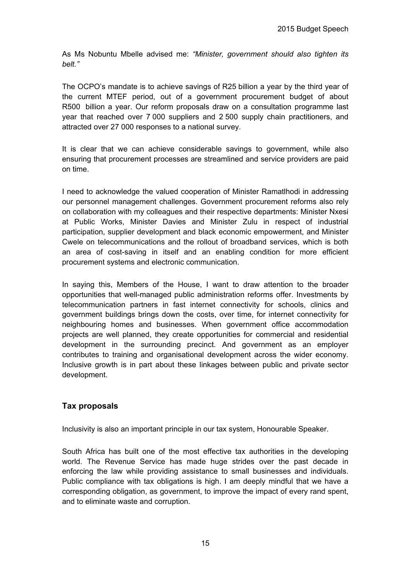As Ms Nobuntu Mbelle advised me: *"Minister, government should also tighten its belt."*

The OCPO's mandate is to achieve savings of R25 billion a year by the third year of the current MTEF period, out of a government procurement budget of about R500 billion a year. Our reform proposals draw on a consultation programme last year that reached over 7 000 suppliers and 2 500 supply chain practitioners, and attracted over 27 000 responses to a national survey.

It is clear that we can achieve considerable savings to government, while also ensuring that procurement processes are streamlined and service providers are paid on time.

I need to acknowledge the valued cooperation of Minister Ramatlhodi in addressing our personnel management challenges. Government procurement reforms also rely on collaboration with my colleagues and their respective departments: Minister Nxesi at Public Works, Minister Davies and Minister Zulu in respect of industrial participation, supplier development and black economic empowerment, and Minister Cwele on telecommunications and the rollout of broadband services, which is both an area of cost-saving in itself and an enabling condition for more efficient procurement systems and electronic communication.

In saying this, Members of the House, I want to draw attention to the broader opportunities that well-managed public administration reforms offer. Investments by telecommunication partners in fast internet connectivity for schools, clinics and government buildings brings down the costs, over time, for internet connectivity for neighbouring homes and businesses. When government office accommodation projects are well planned, they create opportunities for commercial and residential development in the surrounding precinct. And government as an employer contributes to training and organisational development across the wider economy. Inclusive growth is in part about these linkages between public and private sector development.

# **Tax proposals**

Inclusivity is also an important principle in our tax system, Honourable Speaker.

South Africa has built one of the most effective tax authorities in the developing world. The Revenue Service has made huge strides over the past decade in enforcing the law while providing assistance to small businesses and individuals. Public compliance with tax obligations is high. I am deeply mindful that we have a corresponding obligation, as government, to improve the impact of every rand spent, and to eliminate waste and corruption.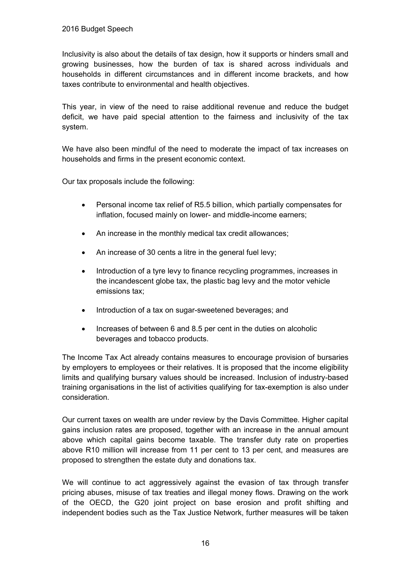Inclusivity is also about the details of tax design, how it supports or hinders small and growing businesses, how the burden of tax is shared across individuals and households in different circumstances and in different income brackets, and how taxes contribute to environmental and health objectives.

This year, in view of the need to raise additional revenue and reduce the budget deficit, we have paid special attention to the fairness and inclusivity of the tax system.

We have also been mindful of the need to moderate the impact of tax increases on households and firms in the present economic context.

Our tax proposals include the following:

- Personal income tax relief of R5.5 billion, which partially compensates for inflation, focused mainly on lower- and middle-income earners;
- An increase in the monthly medical tax credit allowances;
- An increase of 30 cents a litre in the general fuel levy;
- Introduction of a tyre levy to finance recycling programmes, increases in the incandescent globe tax, the plastic bag levy and the motor vehicle emissions tax;
- Introduction of a tax on sugar-sweetened beverages; and
- Increases of between 6 and 8.5 per cent in the duties on alcoholic beverages and tobacco products.

The Income Tax Act already contains measures to encourage provision of bursaries by employers to employees or their relatives. It is proposed that the income eligibility limits and qualifying bursary values should be increased. Inclusion of industry-based training organisations in the list of activities qualifying for tax-exemption is also under consideration.

Our current taxes on wealth are under review by the Davis Committee. Higher capital gains inclusion rates are proposed, together with an increase in the annual amount above which capital gains become taxable. The transfer duty rate on properties above R10 million will increase from 11 per cent to 13 per cent, and measures are proposed to strengthen the estate duty and donations tax.

We will continue to act aggressively against the evasion of tax through transfer pricing abuses, misuse of tax treaties and illegal money flows. Drawing on the work of the OECD, the G20 joint project on base erosion and profit shifting and independent bodies such as the Tax Justice Network, further measures will be taken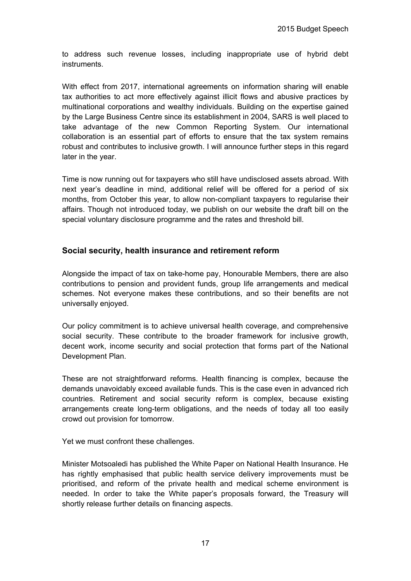to address such revenue losses, including inappropriate use of hybrid debt instruments.

With effect from 2017, international agreements on information sharing will enable tax authorities to act more effectively against illicit flows and abusive practices by multinational corporations and wealthy individuals. Building on the expertise gained by the Large Business Centre since its establishment in 2004, SARS is well placed to take advantage of the new Common Reporting System. Our international collaboration is an essential part of efforts to ensure that the tax system remains robust and contributes to inclusive growth. I will announce further steps in this regard later in the year.

Time is now running out for taxpayers who still have undisclosed assets abroad. With next year's deadline in mind, additional relief will be offered for a period of six months, from October this year, to allow non-compliant taxpayers to regularise their affairs. Though not introduced today, we publish on our website the draft bill on the special voluntary disclosure programme and the rates and threshold bill.

# **Social security, health insurance and retirement reform**

Alongside the impact of tax on take-home pay, Honourable Members, there are also contributions to pension and provident funds, group life arrangements and medical schemes. Not everyone makes these contributions, and so their benefits are not universally enjoyed.

Our policy commitment is to achieve universal health coverage, and comprehensive social security. These contribute to the broader framework for inclusive growth, decent work, income security and social protection that forms part of the National Development Plan.

These are not straightforward reforms. Health financing is complex, because the demands unavoidably exceed available funds. This is the case even in advanced rich countries. Retirement and social security reform is complex, because existing arrangements create long-term obligations, and the needs of today all too easily crowd out provision for tomorrow.

Yet we must confront these challenges.

Minister Motsoaledi has published the White Paper on National Health Insurance. He has rightly emphasised that public health service delivery improvements must be prioritised, and reform of the private health and medical scheme environment is needed. In order to take the White paper's proposals forward, the Treasury will shortly release further details on financing aspects.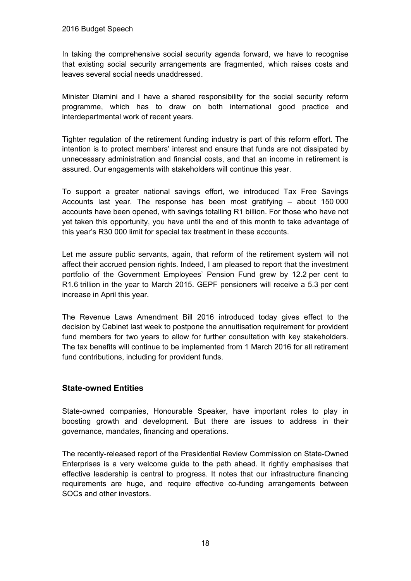In taking the comprehensive social security agenda forward, we have to recognise that existing social security arrangements are fragmented, which raises costs and leaves several social needs unaddressed.

Minister Dlamini and I have a shared responsibility for the social security reform programme, which has to draw on both international good practice and interdepartmental work of recent years.

Tighter regulation of the retirement funding industry is part of this reform effort. The intention is to protect members' interest and ensure that funds are not dissipated by unnecessary administration and financial costs, and that an income in retirement is assured. Our engagements with stakeholders will continue this year.

To support a greater national savings effort, we introduced Tax Free Savings Accounts last year. The response has been most gratifying – about 150 000 accounts have been opened, with savings totalling R1 billion. For those who have not yet taken this opportunity, you have until the end of this month to take advantage of this year's R30 000 limit for special tax treatment in these accounts.

Let me assure public servants, again, that reform of the retirement system will not affect their accrued pension rights. Indeed, I am pleased to report that the investment portfolio of the Government Employees' Pension Fund grew by 12.2 per cent to R1.6 trillion in the year to March 2015. GEPF pensioners will receive a 5.3 per cent increase in April this year.

The Revenue Laws Amendment Bill 2016 introduced today gives effect to the decision by Cabinet last week to postpone the annuitisation requirement for provident fund members for two years to allow for further consultation with key stakeholders. The tax benefits will continue to be implemented from 1 March 2016 for all retirement fund contributions, including for provident funds.

# **State-owned Entities**

State-owned companies, Honourable Speaker, have important roles to play in boosting growth and development. But there are issues to address in their governance, mandates, financing and operations.

The recently-released report of the Presidential Review Commission on State-Owned Enterprises is a very welcome guide to the path ahead. It rightly emphasises that effective leadership is central to progress. It notes that our infrastructure financing requirements are huge, and require effective co-funding arrangements between SOCs and other investors.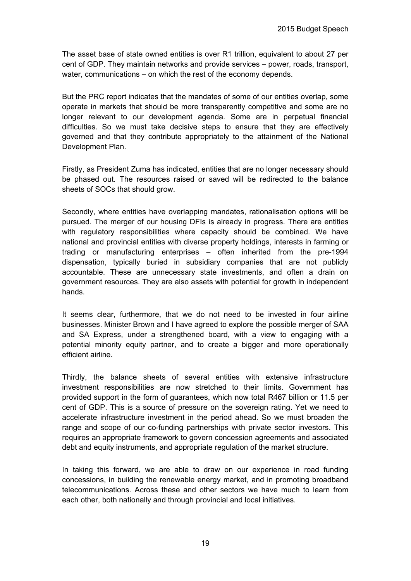The asset base of state owned entities is over R1 trillion, equivalent to about 27 per cent of GDP. They maintain networks and provide services – power, roads, transport, water, communications – on which the rest of the economy depends.

But the PRC report indicates that the mandates of some of our entities overlap, some operate in markets that should be more transparently competitive and some are no longer relevant to our development agenda. Some are in perpetual financial difficulties. So we must take decisive steps to ensure that they are effectively governed and that they contribute appropriately to the attainment of the National Development Plan.

Firstly, as President Zuma has indicated, entities that are no longer necessary should be phased out. The resources raised or saved will be redirected to the balance sheets of SOCs that should grow.

Secondly, where entities have overlapping mandates, rationalisation options will be pursued. The merger of our housing DFIs is already in progress. There are entities with regulatory responsibilities where capacity should be combined. We have national and provincial entities with diverse property holdings, interests in farming or trading or manufacturing enterprises – often inherited from the pre-1994 dispensation, typically buried in subsidiary companies that are not publicly accountable. These are unnecessary state investments, and often a drain on government resources. They are also assets with potential for growth in independent hands.

It seems clear, furthermore, that we do not need to be invested in four airline businesses. Minister Brown and I have agreed to explore the possible merger of SAA and SA Express, under a strengthened board, with a view to engaging with a potential minority equity partner, and to create a bigger and more operationally efficient airline.

Thirdly, the balance sheets of several entities with extensive infrastructure investment responsibilities are now stretched to their limits. Government has provided support in the form of guarantees, which now total R467 billion or 11.5 per cent of GDP. This is a source of pressure on the sovereign rating. Yet we need to accelerate infrastructure investment in the period ahead. So we must broaden the range and scope of our co-funding partnerships with private sector investors. This requires an appropriate framework to govern concession agreements and associated debt and equity instruments, and appropriate regulation of the market structure.

In taking this forward, we are able to draw on our experience in road funding concessions, in building the renewable energy market, and in promoting broadband telecommunications. Across these and other sectors we have much to learn from each other, both nationally and through provincial and local initiatives.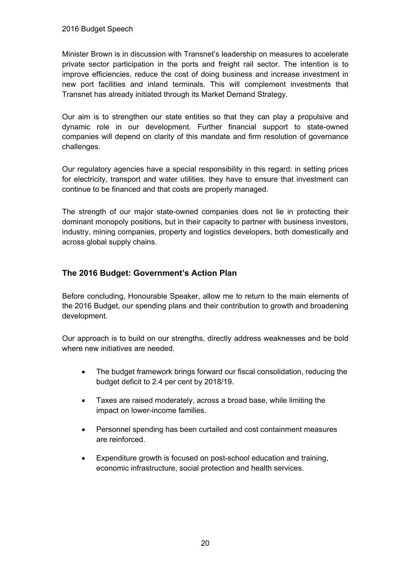Minister Brown is in discussion with Transnet's leadership on measures to accelerate private sector participation in the ports and freight rail sector. The intention is to improve efficiencies, reduce the cost of doing business and increase investment in new port facilities and inland terminals. This will complement investments that Transnet has already initiated through its Market Demand Strategy.

Our aim is to strengthen our state entities so that they can play a propulsive and dynamic role in our development. Further financial support to state-owned companies will depend on clarity of this mandate and firm resolution of governance challenges.

Our regulatory agencies have a special responsibility in this regard: in setting prices for electricity, transport and water utilities, they have to ensure that investment can continue to be financed and that costs are properly managed.

The strength of our major state-owned companies does not lie in protecting their dominant monopoly positions, but in their capacity to partner with business investors, industry, mining companies, property and logistics developers, both domestically and across global supply chains.

# **The 2016 Budget: Government's Action Plan**

Before concluding, Honourable Speaker, allow me to return to the main elements of the 2016 Budget, our spending plans and their contribution to growth and broadening development.

Our approach is to build on our strengths, directly address weaknesses and be bold where new initiatives are needed.

- The budget framework brings forward our fiscal consolidation, reducing the budget deficit to 2.4 per cent by 2018/19.
- Taxes are raised moderately, across a broad base, while limiting the impact on lower-income families.
- Personnel spending has been curtailed and cost containment measures are reinforced.
- Expenditure growth is focused on post-school education and training, economic infrastructure, social protection and health services.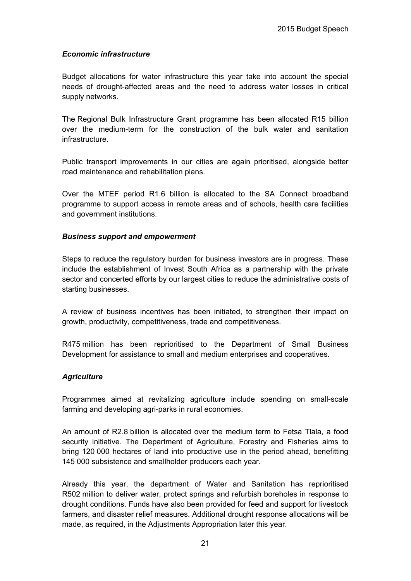### *Economic infrastructure*

Budget allocations for water infrastructure this year take into account the special needs of drought-affected areas and the need to address water losses in critical supply networks.

The Regional Bulk Infrastructure Grant programme has been allocated R15 billion over the medium-term for the construction of the bulk water and sanitation infrastructure.

Public transport improvements in our cities are again prioritised, alongside better road maintenance and rehabilitation plans.

Over the MTEF period R1.6 billion is allocated to the SA Connect broadband programme to support access in remote areas and of schools, health care facilities and government institutions.

#### *Business support and empowerment*

Steps to reduce the regulatory burden for business investors are in progress. These include the establishment of Invest South Africa as a partnership with the private sector and concerted efforts by our largest cities to reduce the administrative costs of starting businesses.

A review of business incentives has been initiated, to strengthen their impact on growth, productivity, competitiveness, trade and competitiveness.

R475 million has been reprioritised to the Department of Small Business Development for assistance to small and medium enterprises and cooperatives.

#### *Agriculture*

Programmes aimed at revitalizing agriculture include spending on small-scale farming and developing agri-parks in rural economies.

An amount of R2.8 billion is allocated over the medium term to Fetsa Tlala, a food security initiative. The Department of Agriculture, Forestry and Fisheries aims to bring 120 000 hectares of land into productive use in the period ahead, benefitting 145 000 subsistence and smallholder producers each year.

Already this year, the department of Water and Sanitation has reprioritised R502 million to deliver water, protect springs and refurbish boreholes in response to drought conditions. Funds have also been provided for feed and support for livestock farmers, and disaster relief measures. Additional drought response allocations will be made, as required, in the Adjustments Appropriation later this year.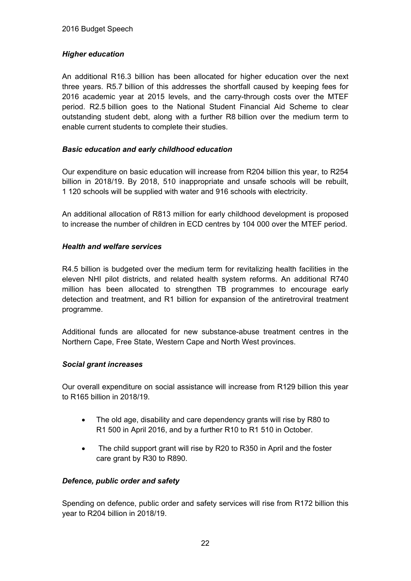# *Higher education*

An additional R16.3 billion has been allocated for higher education over the next three years. R5.7 billion of this addresses the shortfall caused by keeping fees for 2016 academic year at 2015 levels, and the carry-through costs over the MTEF period. R2.5 billion goes to the National Student Financial Aid Scheme to clear outstanding student debt, along with a further R8 billion over the medium term to enable current students to complete their studies.

# *Basic education and early childhood education*

Our expenditure on basic education will increase from R204 billion this year, to R254 billion in 2018/19. By 2018, 510 inappropriate and unsafe schools will be rebuilt, 1 120 schools will be supplied with water and 916 schools with electricity.

An additional allocation of R813 million for early childhood development is proposed to increase the number of children in ECD centres by 104 000 over the MTEF period.

# *Health and welfare services*

R4.5 billion is budgeted over the medium term for revitalizing health facilities in the eleven NHI pilot districts, and related health system reforms. An additional R740 million has been allocated to strengthen TB programmes to encourage early detection and treatment, and R1 billion for expansion of the antiretroviral treatment programme.

Additional funds are allocated for new substance-abuse treatment centres in the Northern Cape, Free State, Western Cape and North West provinces.

# *Social grant increases*

Our overall expenditure on social assistance will increase from R129 billion this year to R165 billion in 2018/19.

- The old age, disability and care dependency grants will rise by R80 to R1 500 in April 2016, and by a further R10 to R1 510 in October.
- The child support grant will rise by R20 to R350 in April and the foster care grant by R30 to R890.

# *Defence, public order and safety*

Spending on defence, public order and safety services will rise from R172 billion this year to R204 billion in 2018/19.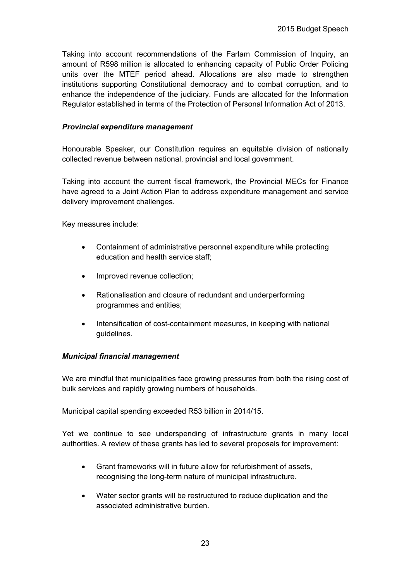Taking into account recommendations of the Farlam Commission of Inquiry, an amount of R598 million is allocated to enhancing capacity of Public Order Policing units over the MTEF period ahead. Allocations are also made to strengthen institutions supporting Constitutional democracy and to combat corruption, and to enhance the independence of the judiciary. Funds are allocated for the Information Regulator established in terms of the Protection of Personal Information Act of 2013.

### *Provincial expenditure management*

Honourable Speaker, our Constitution requires an equitable division of nationally collected revenue between national, provincial and local government.

Taking into account the current fiscal framework, the Provincial MECs for Finance have agreed to a Joint Action Plan to address expenditure management and service delivery improvement challenges.

Key measures include:

- Containment of administrative personnel expenditure while protecting education and health service staff;
- Improved revenue collection;
- Rationalisation and closure of redundant and underperforming programmes and entities;
- Intensification of cost-containment measures, in keeping with national guidelines.

# *Municipal financial management*

We are mindful that municipalities face growing pressures from both the rising cost of bulk services and rapidly growing numbers of households.

Municipal capital spending exceeded R53 billion in 2014/15.

Yet we continue to see underspending of infrastructure grants in many local authorities. A review of these grants has led to several proposals for improvement:

- Grant frameworks will in future allow for refurbishment of assets, recognising the long-term nature of municipal infrastructure.
- Water sector grants will be restructured to reduce duplication and the associated administrative burden.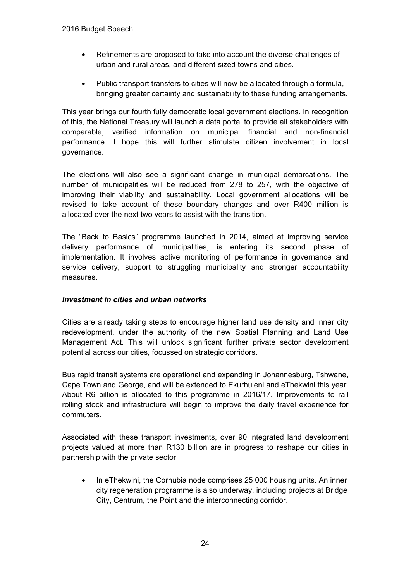- Refinements are proposed to take into account the diverse challenges of urban and rural areas, and different-sized towns and cities.
- Public transport transfers to cities will now be allocated through a formula, bringing greater certainty and sustainability to these funding arrangements.

This year brings our fourth fully democratic local government elections. In recognition of this, the National Treasury will launch a data portal to provide all stakeholders with comparable, verified information on municipal financial and non-financial performance. I hope this will further stimulate citizen involvement in local governance.

The elections will also see a significant change in municipal demarcations. The number of municipalities will be reduced from 278 to 257, with the objective of improving their viability and sustainability. Local government allocations will be revised to take account of these boundary changes and over R400 million is allocated over the next two years to assist with the transition.

The "Back to Basics" programme launched in 2014, aimed at improving service delivery performance of municipalities, is entering its second phase of implementation. It involves active monitoring of performance in governance and service delivery, support to struggling municipality and stronger accountability measures.

# *Investment in cities and urban networks*

Cities are already taking steps to encourage higher land use density and inner city redevelopment, under the authority of the new Spatial Planning and Land Use Management Act. This will unlock significant further private sector development potential across our cities, focussed on strategic corridors.

Bus rapid transit systems are operational and expanding in Johannesburg, Tshwane, Cape Town and George, and will be extended to Ekurhuleni and eThekwini this year. About R6 billion is allocated to this programme in 2016/17. Improvements to rail rolling stock and infrastructure will begin to improve the daily travel experience for commuters.

Associated with these transport investments, over 90 integrated land development projects valued at more than R130 billion are in progress to reshape our cities in partnership with the private sector.

• In eThekwini, the Cornubia node comprises 25 000 housing units. An inner city regeneration programme is also underway, including projects at Bridge City, Centrum, the Point and the interconnecting corridor.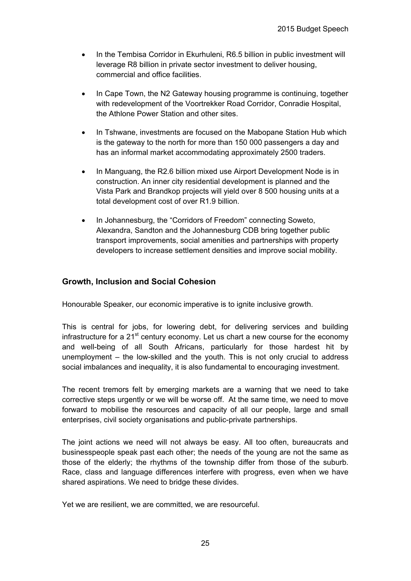- In the Tembisa Corridor in Ekurhuleni, R6.5 billion in public investment will leverage R8 billion in private sector investment to deliver housing, commercial and office facilities.
- In Cape Town, the N2 Gateway housing programme is continuing, together with redevelopment of the Voortrekker Road Corridor, Conradie Hospital, the Athlone Power Station and other sites.
- In Tshwane, investments are focused on the Mabopane Station Hub which is the gateway to the north for more than 150 000 passengers a day and has an informal market accommodating approximately 2500 traders.
- In Manguang, the R2.6 billion mixed use Airport Development Node is in construction. An inner city residential development is planned and the Vista Park and Brandkop projects will yield over 8 500 housing units at a total development cost of over R1.9 billion.
- In Johannesburg, the "Corridors of Freedom" connecting Soweto, Alexandra, Sandton and the Johannesburg CDB bring together public transport improvements, social amenities and partnerships with property developers to increase settlement densities and improve social mobility.

# **Growth, Inclusion and Social Cohesion**

Honourable Speaker, our economic imperative is to ignite inclusive growth.

This is central for jobs, for lowering debt, for delivering services and building infrastructure for a  $21<sup>st</sup>$  century economy. Let us chart a new course for the economy and well-being of all South Africans, particularly for those hardest hit by unemployment – the low-skilled and the youth. This is not only crucial to address social imbalances and inequality, it is also fundamental to encouraging investment.

The recent tremors felt by emerging markets are a warning that we need to take corrective steps urgently or we will be worse off. At the same time, we need to move forward to mobilise the resources and capacity of all our people, large and small enterprises, civil society organisations and public-private partnerships.

The joint actions we need will not always be easy. All too often, bureaucrats and businesspeople speak past each other; the needs of the young are not the same as those of the elderly; the rhythms of the township differ from those of the suburb. Race, class and language differences interfere with progress, even when we have shared aspirations. We need to bridge these divides.

Yet we are resilient, we are committed, we are resourceful.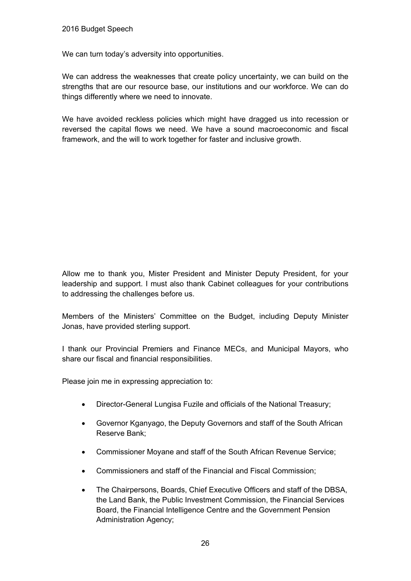We can turn today's adversity into opportunities.

We can address the weaknesses that create policy uncertainty, we can build on the strengths that are our resource base, our institutions and our workforce. We can do things differently where we need to innovate.

We have avoided reckless policies which might have dragged us into recession or reversed the capital flows we need. We have a sound macroeconomic and fiscal framework, and the will to work together for faster and inclusive growth.

Allow me to thank you, Mister President and Minister Deputy President, for your leadership and support. I must also thank Cabinet colleagues for your contributions to addressing the challenges before us.

Members of the Ministers' Committee on the Budget, including Deputy Minister Jonas, have provided sterling support.

I thank our Provincial Premiers and Finance MECs, and Municipal Mayors, who share our fiscal and financial responsibilities.

Please join me in expressing appreciation to:

- Director-General Lungisa Fuzile and officials of the National Treasury;
- Governor Kganyago, the Deputy Governors and staff of the South African Reserve Bank;
- Commissioner Moyane and staff of the South African Revenue Service;
- Commissioners and staff of the Financial and Fiscal Commission;
- The Chairpersons, Boards, Chief Executive Officers and staff of the DBSA, the Land Bank, the Public Investment Commission, the Financial Services Board, the Financial Intelligence Centre and the Government Pension Administration Agency;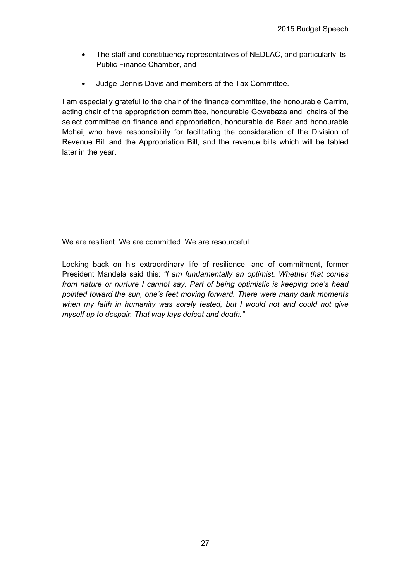- The staff and constituency representatives of NEDLAC, and particularly its Public Finance Chamber, and
- Judge Dennis Davis and members of the Tax Committee.

I am especially grateful to the chair of the finance committee, the honourable Carrim, acting chair of the appropriation committee, honourable Gcwabaza and chairs of the select committee on finance and appropriation, honourable de Beer and honourable Mohai, who have responsibility for facilitating the consideration of the Division of Revenue Bill and the Appropriation Bill, and the revenue bills which will be tabled later in the year.

We are resilient. We are committed. We are resourceful.

Looking back on his extraordinary life of resilience, and of commitment, former President Mandela said this: *"I am fundamentally an optimist. Whether that comes from nature or nurture I cannot say. Part of being optimistic is keeping one's head pointed toward the sun, one's feet moving forward. There were many dark moments when my faith in humanity was sorely tested, but I would not and could not give myself up to despair. That way lays defeat and death."*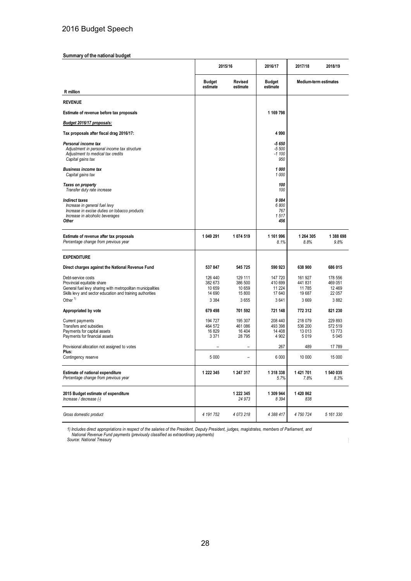#### **Summary of the national budget**

|                                                                                                                                                                                          | 2015/16                                           |                                                | 2016/17                                        | 2017/18                                           | 2018/19                                         |
|------------------------------------------------------------------------------------------------------------------------------------------------------------------------------------------|---------------------------------------------------|------------------------------------------------|------------------------------------------------|---------------------------------------------------|-------------------------------------------------|
|                                                                                                                                                                                          | <b>Budget</b><br>estimate                         | Revised<br>estimate                            | <b>Budget</b><br>estimate                      | <b>Medium-term estimates</b>                      |                                                 |
| R million                                                                                                                                                                                |                                                   |                                                |                                                |                                                   |                                                 |
| <b>REVENUE</b>                                                                                                                                                                           |                                                   |                                                |                                                |                                                   |                                                 |
| Estimate of revenue before tax proposals                                                                                                                                                 |                                                   |                                                | 1 169 798                                      |                                                   |                                                 |
| Budget 2016/17 proposals:                                                                                                                                                                |                                                   |                                                |                                                |                                                   |                                                 |
| Tax proposals after fiscal drag 2016/17:                                                                                                                                                 |                                                   |                                                | 4 9 9 0                                        |                                                   |                                                 |
| Personal income tax<br>Adjustment in personal income tax structure<br>Adjustment to medical tax credits<br>Capital gains tax                                                             |                                                   |                                                | $-5650$<br>$-5500$<br>$-1100$<br>950           |                                                   |                                                 |
| <b>Business income tax</b><br>Capital gains tax                                                                                                                                          |                                                   |                                                | 1 000<br>1 000                                 |                                                   |                                                 |
| Taxes on property<br>Transfer duty rate increase                                                                                                                                         |                                                   |                                                | 100<br>100                                     |                                                   |                                                 |
| <b>Indirect taxes</b><br>Increase in general fuel levy<br>Increase in excise duties on tobacco products<br>Increase in alcoholic beverages<br>Other                                      |                                                   |                                                | 9084<br>6 800<br>767<br>1517<br>456            |                                                   |                                                 |
| Estimate of revenue after tax proposals<br>Percentage change from previous year                                                                                                          | 1 049 291                                         | 1 074 519                                      | 1 161 996<br>8.1%                              | 1 264 305<br>8.8%                                 | 1 388 698<br>9.8%                               |
| <b>EXPENDITURE</b>                                                                                                                                                                       |                                                   |                                                |                                                |                                                   |                                                 |
| Direct charges against the National Revenue Fund                                                                                                                                         | 537 847                                           | 545 725                                        | 590 923                                        | 638 900                                           | 686 015                                         |
| Debt-service costs<br>Provincial equitable share<br>General fuel levy sharing with metropolitan municipalities<br>Skills levy and sector education and training authorities<br>Other $1$ | 126 440<br>382 673<br>10 659<br>14 690<br>3 3 8 4 | 129 111<br>386 500<br>10 659<br>15 800<br>3655 | 147 720<br>410 699<br>11 224<br>17 640<br>3641 | 161 927<br>441 831<br>11 785<br>19 687<br>3 6 6 9 | 178 556<br>469 051<br>12 4 69<br>22 057<br>3882 |
| Appropriated by vote                                                                                                                                                                     | 679 498                                           | 701 592                                        | 721 148                                        | 772 312                                           | 821 230                                         |
| Current payments<br>Transfers and subsidies<br>Payments for capital assets<br>Payments for financial assets                                                                              | 194 727<br>464 572<br>16829<br>3 3 7 1            | 195 307<br>461 086<br>16 404<br>28 7 95        | 208 440<br>493 398<br>14 40 8<br>4 9 0 2       | 218 079<br>536 200<br>13 0 13<br>5019             | 229 893<br>572 519<br>13773<br>5 0 4 5          |
| Provisional allocation not assigned to votes                                                                                                                                             |                                                   |                                                | 267                                            | 489                                               | 17 789                                          |
| Plus:<br>Contingency reserve                                                                                                                                                             | 5 0 0 0                                           | ۳                                              | 6 0 0 0                                        | 10 000                                            | 15 000                                          |
| <b>Estimate of national expenditure</b><br>Percentage change from previous year                                                                                                          | 1 222 345                                         | 1 247 317                                      | 1 318 338<br>5.7%                              | 1 421 701<br>7.8%                                 | 1 540 035<br>8.3%                               |
| 2015 Budget estimate of expenditure<br>Increase / decrease (-)                                                                                                                           |                                                   | 1 222 345<br>24 973                            | 1 309 944<br>8 3 9 4                           | 1 420 862<br>838                                  |                                                 |
| Gross domestic product                                                                                                                                                                   | 4 191 752                                         | 4 073 218                                      | 4 388 417                                      | 4 750 724                                         | 5 161 330                                       |

1) Includes direct appropriations in respect of the salaries of the President, Deputy President, judges, magistrates, members of Parliament, and<br>National Revenue Fund payments (previously classified as extraordinary paymen